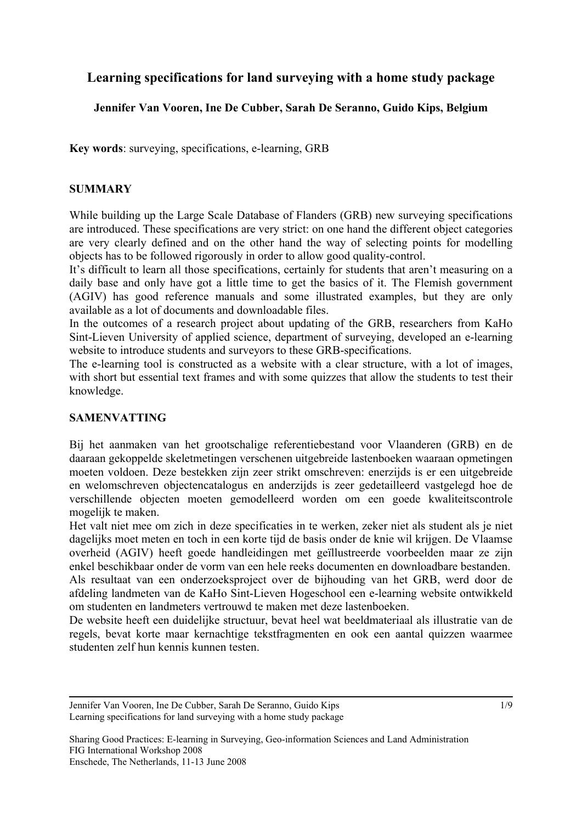# **Learning specifications for land surveying with a home study package**

# **Jennifer Van Vooren, Ine De Cubber, Sarah De Seranno, Guido Kips, Belgium**

**Key words**: surveying, specifications, e-learning, GRB

### **SUMMARY**

While building up the Large Scale Database of Flanders (GRB) new surveying specifications are introduced. These specifications are very strict: on one hand the different object categories are very clearly defined and on the other hand the way of selecting points for modelling objects has to be followed rigorously in order to allow good quality-control.

It's difficult to learn all those specifications, certainly for students that aren't measuring on a daily base and only have got a little time to get the basics of it. The Flemish government (AGIV) has good reference manuals and some illustrated examples, but they are only available as a lot of documents and downloadable files.

In the outcomes of a research project about updating of the GRB, researchers from KaHo Sint-Lieven University of applied science, department of surveying, developed an e-learning website to introduce students and surveyors to these GRB-specifications.

The e-learning tool is constructed as a website with a clear structure, with a lot of images, with short but essential text frames and with some quizzes that allow the students to test their knowledge.

## **SAMENVATTING**

Bij het aanmaken van het grootschalige referentiebestand voor Vlaanderen (GRB) en de daaraan gekoppelde skeletmetingen verschenen uitgebreide lastenboeken waaraan opmetingen moeten voldoen. Deze bestekken zijn zeer strikt omschreven: enerzijds is er een uitgebreide en welomschreven objectencatalogus en anderzijds is zeer gedetailleerd vastgelegd hoe de verschillende objecten moeten gemodelleerd worden om een goede kwaliteitscontrole mogelijk te maken.

Het valt niet mee om zich in deze specificaties in te werken, zeker niet als student als je niet dagelijks moet meten en toch in een korte tijd de basis onder de knie wil krijgen. De Vlaamse overheid (AGIV) heeft goede handleidingen met geïllustreerde voorbeelden maar ze zijn enkel beschikbaar onder de vorm van een hele reeks documenten en downloadbare bestanden. Als resultaat van een onderzoeksproject over de bijhouding van het GRB, werd door de afdeling landmeten van de KaHo Sint-Lieven Hogeschool een e-learning website ontwikkeld om studenten en landmeters vertrouwd te maken met deze lastenboeken.

De website heeft een duidelijke structuur, bevat heel wat beeldmateriaal als illustratie van de regels, bevat korte maar kernachtige tekstfragmenten en ook een aantal quizzen waarmee studenten zelf hun kennis kunnen testen.

Jennifer Van Vooren, Ine De Cubber, Sarah De Seranno, Guido Kips Learning specifications for land surveying with a home study package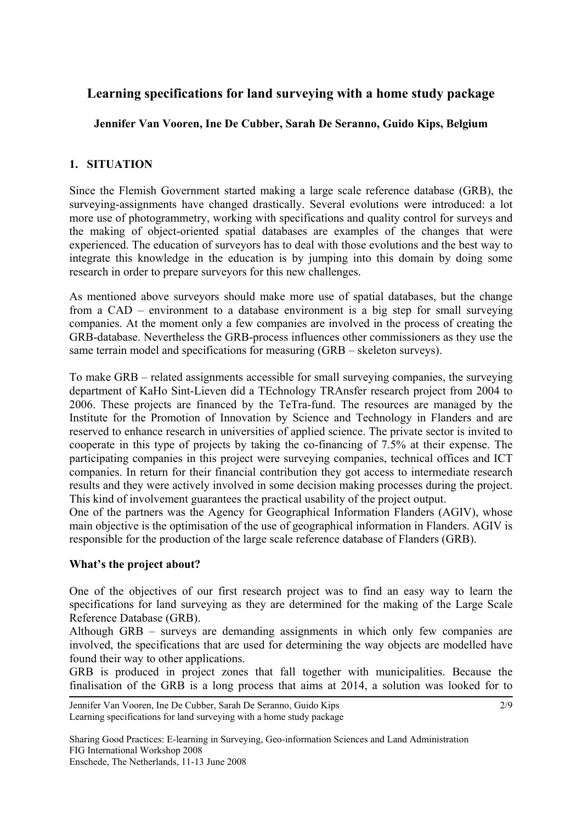# **Learning specifications for land surveying with a home study package**

# **Jennifer Van Vooren, Ine De Cubber, Sarah De Seranno, Guido Kips, Belgium**

# **1. SITUATION**

Since the Flemish Government started making a large scale reference database (GRB), the surveying-assignments have changed drastically. Several evolutions were introduced: a lot more use of photogrammetry, working with specifications and quality control for surveys and the making of object-oriented spatial databases are examples of the changes that were experienced. The education of surveyors has to deal with those evolutions and the best way to integrate this knowledge in the education is by jumping into this domain by doing some research in order to prepare surveyors for this new challenges.

As mentioned above surveyors should make more use of spatial databases, but the change from a CAD – environment to a database environment is a big step for small surveying companies. At the moment only a few companies are involved in the process of creating the GRB-database. Nevertheless the GRB-process influences other commissioners as they use the same terrain model and specifications for measuring (GRB – skeleton surveys).

To make GRB – related assignments accessible for small surveying companies, the surveying department of KaHo Sint-Lieven did a TEchnology TRAnsfer research project from 2004 to 2006. These projects are financed by the TeTra-fund. The resources are managed by the Institute for the Promotion of Innovation by Science and Technology in Flanders and are reserved to enhance research in universities of applied science. The private sector is invited to cooperate in this type of projects by taking the co-financing of 7.5% at their expense. The participating companies in this project were surveying companies, technical offices and ICT companies. In return for their financial contribution they got access to intermediate research results and they were actively involved in some decision making processes during the project. This kind of involvement guarantees the practical usability of the project output.

One of the partners was the Agency for Geographical Information Flanders (AGIV), whose main objective is the optimisation of the use of geographical information in Flanders. AGIV is responsible for the production of the large scale reference database of Flanders (GRB).

## **What's the project about?**

One of the objectives of our first research project was to find an easy way to learn the specifications for land surveying as they are determined for the making of the Large Scale Reference Database (GRB).

Although GRB – surveys are demanding assignments in which only few companies are involved, the specifications that are used for determining the way objects are modelled have found their way to other applications.

GRB is produced in project zones that fall together with municipalities. Because the finalisation of the GRB is a long process that aims at 2014, a solution was looked for to

Jennifer Van Vooren, Ine De Cubber, Sarah De Seranno, Guido Kips Learning specifications for land surveying with a home study package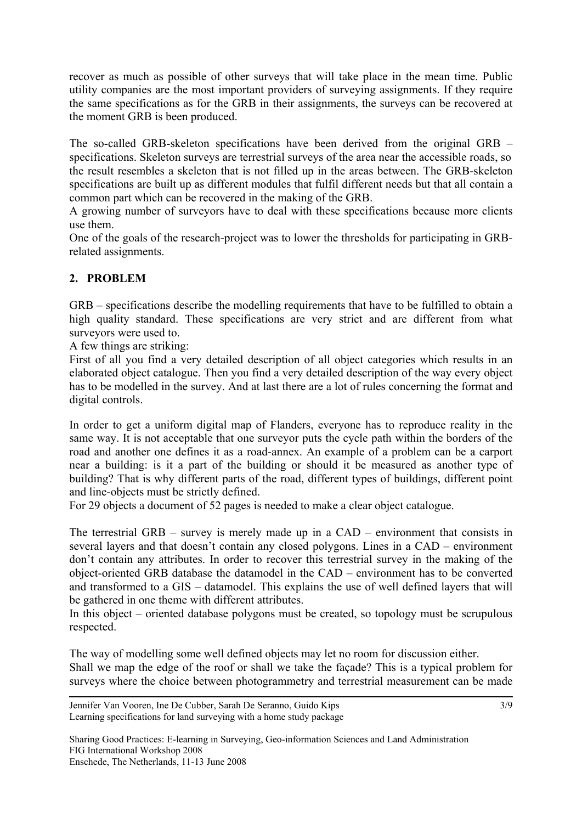recover as much as possible of other surveys that will take place in the mean time. Public utility companies are the most important providers of surveying assignments. If they require the same specifications as for the GRB in their assignments, the surveys can be recovered at the moment GRB is been produced.

The so-called GRB-skeleton specifications have been derived from the original GRB – specifications. Skeleton surveys are terrestrial surveys of the area near the accessible roads, so the result resembles a skeleton that is not filled up in the areas between. The GRB-skeleton specifications are built up as different modules that fulfil different needs but that all contain a common part which can be recovered in the making of the GRB.

A growing number of surveyors have to deal with these specifications because more clients use them.

One of the goals of the research-project was to lower the thresholds for participating in GRBrelated assignments.

# **2. PROBLEM**

GRB – specifications describe the modelling requirements that have to be fulfilled to obtain a high quality standard. These specifications are very strict and are different from what surveyors were used to.

A few things are striking:

First of all you find a very detailed description of all object categories which results in an elaborated object catalogue. Then you find a very detailed description of the way every object has to be modelled in the survey. And at last there are a lot of rules concerning the format and digital controls.

In order to get a uniform digital map of Flanders, everyone has to reproduce reality in the same way. It is not acceptable that one surveyor puts the cycle path within the borders of the road and another one defines it as a road-annex. An example of a problem can be a carport near a building: is it a part of the building or should it be measured as another type of building? That is why different parts of the road, different types of buildings, different point and line-objects must be strictly defined.

For 29 objects a document of 52 pages is needed to make a clear object catalogue.

The terrestrial GRB – survey is merely made up in a CAD – environment that consists in several layers and that doesn't contain any closed polygons. Lines in a CAD – environment don't contain any attributes. In order to recover this terrestrial survey in the making of the object-oriented GRB database the datamodel in the CAD – environment has to be converted and transformed to a GIS – datamodel. This explains the use of well defined layers that will be gathered in one theme with different attributes.

In this object – oriented database polygons must be created, so topology must be scrupulous respected.

The way of modelling some well defined objects may let no room for discussion either. Shall we map the edge of the roof or shall we take the façade? This is a typical problem for surveys where the choice between photogrammetry and terrestrial measurement can be made

Jennifer Van Vooren, Ine De Cubber, Sarah De Seranno, Guido Kips Learning specifications for land surveying with a home study package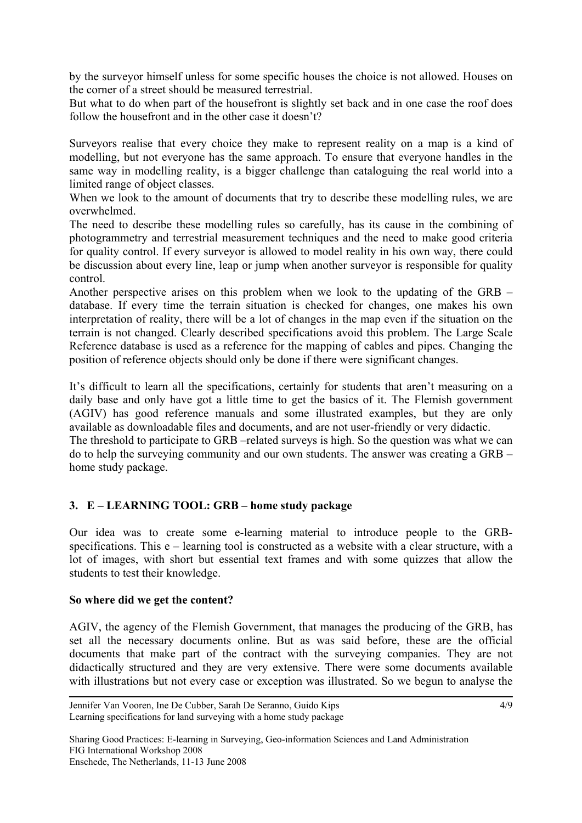by the surveyor himself unless for some specific houses the choice is not allowed. Houses on the corner of a street should be measured terrestrial.

But what to do when part of the housefront is slightly set back and in one case the roof does follow the housefront and in the other case it doesn't?

Surveyors realise that every choice they make to represent reality on a map is a kind of modelling, but not everyone has the same approach. To ensure that everyone handles in the same way in modelling reality, is a bigger challenge than cataloguing the real world into a limited range of object classes.

When we look to the amount of documents that try to describe these modelling rules, we are overwhelmed.

The need to describe these modelling rules so carefully, has its cause in the combining of photogrammetry and terrestrial measurement techniques and the need to make good criteria for quality control. If every surveyor is allowed to model reality in his own way, there could be discussion about every line, leap or jump when another surveyor is responsible for quality control.

Another perspective arises on this problem when we look to the updating of the GRB – database. If every time the terrain situation is checked for changes, one makes his own interpretation of reality, there will be a lot of changes in the map even if the situation on the terrain is not changed. Clearly described specifications avoid this problem. The Large Scale Reference database is used as a reference for the mapping of cables and pipes. Changing the position of reference objects should only be done if there were significant changes.

It's difficult to learn all the specifications, certainly for students that aren't measuring on a daily base and only have got a little time to get the basics of it. The Flemish government (AGIV) has good reference manuals and some illustrated examples, but they are only available as downloadable files and documents, and are not user-friendly or very didactic. The threshold to participate to GRB –related surveys is high. So the question was what we can

do to help the surveying community and our own students. The answer was creating a GRB – home study package.

## **3. E – LEARNING TOOL: GRB – home study package**

Our idea was to create some e-learning material to introduce people to the GRBspecifications. This e – learning tool is constructed as a website with a clear structure, with a lot of images, with short but essential text frames and with some quizzes that allow the students to test their knowledge.

#### **So where did we get the content?**

AGIV, the agency of the Flemish Government, that manages the producing of the GRB, has set all the necessary documents online. But as was said before, these are the official documents that make part of the contract with the surveying companies. They are not didactically structured and they are very extensive. There were some documents available with illustrations but not every case or exception was illustrated. So we begun to analyse the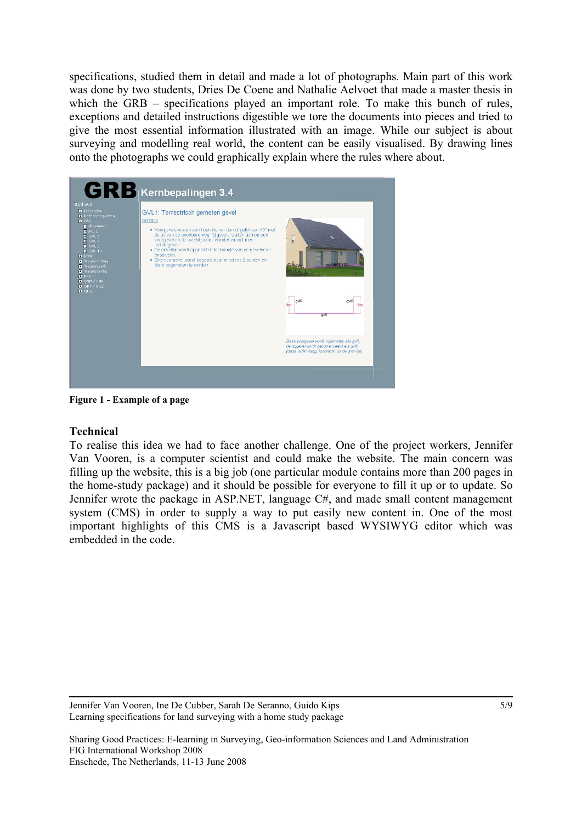specifications, studied them in detail and made a lot of photographs. Main part of this work was done by two students, Dries De Coene and Nathalie Aelvoet that made a master thesis in which the GRB – specifications played an important role. To make this bunch of rules, exceptions and detailed instructions digestible we tore the documents into pieces and tried to give the most essential information illustrated with an image. While our subject is about surveying and modelling real world, the content can be easily visualised. By drawing lines onto the photographs we could graphically explain where the rules where about.



**Figure 1 - Example of a page** 

#### **Technical**

To realise this idea we had to face another challenge. One of the project workers, Jennifer Van Vooren, is a computer scientist and could make the website. The main concern was filling up the website, this is a big job (one particular module contains more than 200 pages in the home-study package) and it should be possible for everyone to fill it up or to update. So Jennifer wrote the package in ASP.NET, language C#, and made small content management system (CMS) in order to supply a way to put easily new content in. One of the most important highlights of this CMS is a Javascript based WYSIWYG editor which was embedded in the code.

Jennifer Van Vooren, Ine De Cubber, Sarah De Seranno, Guido Kips Learning specifications for land surveying with a home study package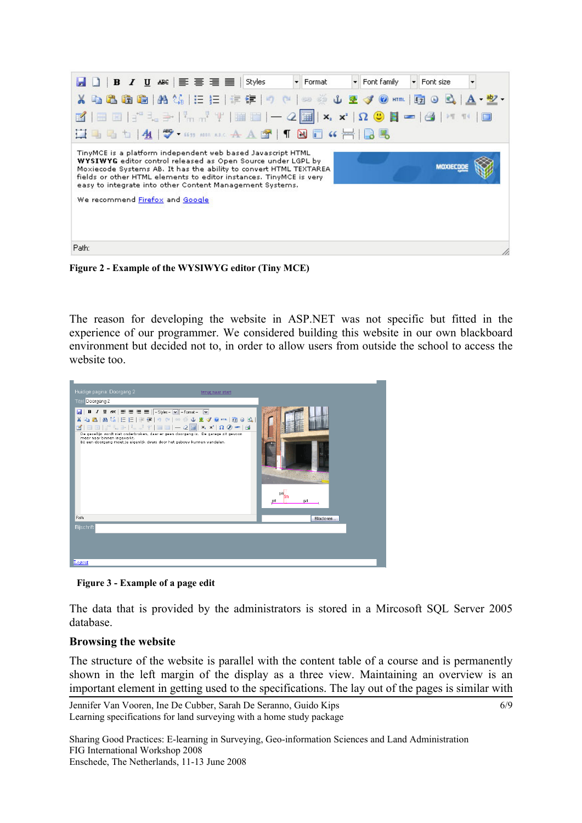| B D   B <i>I</i> U ABC   WWW   WHO WE   Styles   ▼ Format<br>Font family<br>Font size                                                                                                                                                                                                                                                                                             |
|-----------------------------------------------------------------------------------------------------------------------------------------------------------------------------------------------------------------------------------------------------------------------------------------------------------------------------------------------------------------------------------|
| <b>X 4 8 8 8 M (A 1: E   # #   7 C   ∞ ※ ↓ 2 イ 0 mm   0 0 A   A · 2 ·</b>                                                                                                                                                                                                                                                                                                         |
|                                                                                                                                                                                                                                                                                                                                                                                   |
|                                                                                                                                                                                                                                                                                                                                                                                   |
| TinyMCE is a platform independent web based Javascript HTML<br>WYSIWYG editor control released as Open Source under LGPL by<br>MOXIECO<br>Moxiecode Systems AB. It has the ability to convert HTML TEXTAREA<br>fields or other HTML elements to editor instances. TinyMCE is very-<br>easy to integrate into other Content Management Systems.<br>We recommend Firefox and Google |
| Path:                                                                                                                                                                                                                                                                                                                                                                             |

**Figure 2 - Example of the WYSIWYG editor (Tiny MCE)** 

The reason for developing the website in ASP.NET was not specific but fitted in the experience of our programmer. We considered building this website in our own blackboard environment but decided not to, in order to allow users from outside the school to access the website too.

| Huidige pagina: Doorgang 2<br>terug naar start<br><b>Titel Doorgang 2</b>                                                                                                                                                                                                                                                                                                                                                                                             |            |
|-----------------------------------------------------------------------------------------------------------------------------------------------------------------------------------------------------------------------------------------------------------------------------------------------------------------------------------------------------------------------------------------------------------------------------------------------------------------------|------------|
| $\mathbf{E}'$   $\mathbf{H}$ $\mathbf{E}$   $j^*$ $\mathbf{I}_a \Rightarrow$   $l^*_{m}$ , $l^*$   $\mathbf{H}$ $\mathbf{H}$   $\mathbf{H}$ $\mathbf{H}$   $\mathbf{H}$ $\mathbf{x}_i$ $\mathbf{x}_i$   $\mathbf{\Omega}$ $\mathbf{0}$ $\mathbf{H}$   $\mathbf{H}$<br>De gevellijn wordt niet onderbroken, daar er geen doorgang is. De garage zit gevoon<br>meer naar binnen ingeverkt.<br>Bij een doorgang moet je eigenlijk dwars door het gebouw kunnen wandelen. | g/1<br>cvt |
| Path:                                                                                                                                                                                                                                                                                                                                                                                                                                                                 | Bladeren   |
| <b>Bijschrift</b>                                                                                                                                                                                                                                                                                                                                                                                                                                                     |            |
|                                                                                                                                                                                                                                                                                                                                                                                                                                                                       |            |
| Logout                                                                                                                                                                                                                                                                                                                                                                                                                                                                |            |

**Figure 3 - Example of a page edit** 

The data that is provided by the administrators is stored in a Mircosoft SQL Server 2005 database.

## **Browsing the website**

The structure of the website is parallel with the content table of a course and is permanently shown in the left margin of the display as a three view. Maintaining an overview is an important element in getting used to the specifications. The lay out of the pages is similar with

```
Jennifer Van Vooren, Ine De Cubber, Sarah De Seranno, Guido Kips 
Learning specifications for land surveying with a home study package
```
6/9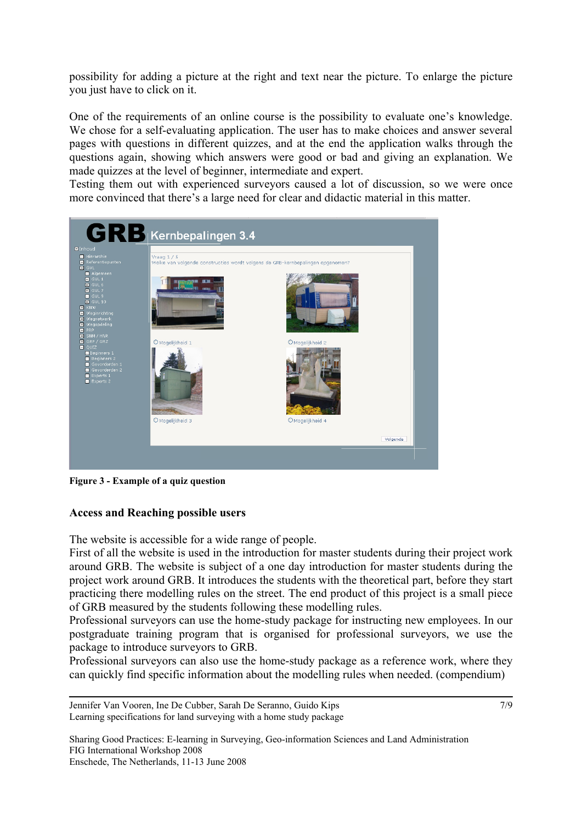possibility for adding a picture at the right and text near the picture. To enlarge the picture you just have to click on it.

One of the requirements of an online course is the possibility to evaluate one's knowledge. We chose for a self-evaluating application. The user has to make choices and answer several pages with questions in different quizzes, and at the end the application walks through the questions again, showing which answers were good or bad and giving an explanation. We made quizzes at the level of beginner, intermediate and expert.

Testing them out with experienced surveyors caused a lot of discussion, so we were once more convinced that there's a large need for clear and didactic material in this matter.



**Figure 3 - Example of a quiz question** 

#### **Access and Reaching possible users**

The website is accessible for a wide range of people.

First of all the website is used in the introduction for master students during their project work around GRB. The website is subject of a one day introduction for master students during the project work around GRB. It introduces the students with the theoretical part, before they start practicing there modelling rules on the street. The end product of this project is a small piece of GRB measured by the students following these modelling rules.

Professional surveyors can use the home-study package for instructing new employees. In our postgraduate training program that is organised for professional surveyors, we use the package to introduce surveyors to GRB.

Professional surveyors can also use the home-study package as a reference work, where they can quickly find specific information about the modelling rules when needed. (compendium)

Jennifer Van Vooren, Ine De Cubber, Sarah De Seranno, Guido Kips Learning specifications for land surveying with a home study package 7/9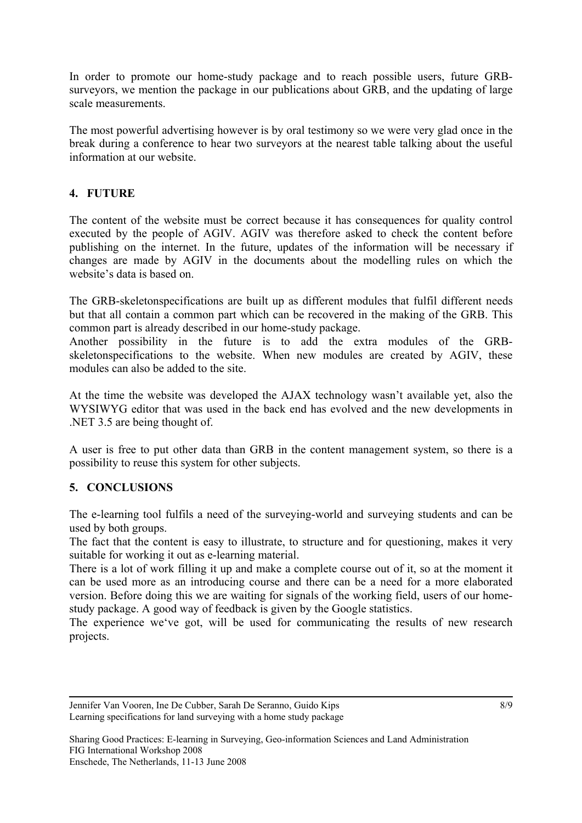In order to promote our home-study package and to reach possible users, future GRBsurveyors, we mention the package in our publications about GRB, and the updating of large scale measurements.

The most powerful advertising however is by oral testimony so we were very glad once in the break during a conference to hear two surveyors at the nearest table talking about the useful information at our website.

# **4. FUTURE**

The content of the website must be correct because it has consequences for quality control executed by the people of AGIV. AGIV was therefore asked to check the content before publishing on the internet. In the future, updates of the information will be necessary if changes are made by AGIV in the documents about the modelling rules on which the website's data is based on.

The GRB-skeletonspecifications are built up as different modules that fulfil different needs but that all contain a common part which can be recovered in the making of the GRB. This common part is already described in our home-study package.

Another possibility in the future is to add the extra modules of the GRBskeletonspecifications to the website. When new modules are created by AGIV, these modules can also be added to the site.

At the time the website was developed the AJAX technology wasn't available yet, also the WYSIWYG editor that was used in the back end has evolved and the new developments in .NET 3.5 are being thought of.

A user is free to put other data than GRB in the content management system, so there is a possibility to reuse this system for other subjects.

# **5. CONCLUSIONS**

The e-learning tool fulfils a need of the surveying-world and surveying students and can be used by both groups.

The fact that the content is easy to illustrate, to structure and for questioning, makes it very suitable for working it out as e-learning material.

There is a lot of work filling it up and make a complete course out of it, so at the moment it can be used more as an introducing course and there can be a need for a more elaborated version. Before doing this we are waiting for signals of the working field, users of our homestudy package. A good way of feedback is given by the Google statistics.

The experience we've got, will be used for communicating the results of new research projects.

Jennifer Van Vooren, Ine De Cubber, Sarah De Seranno, Guido Kips Learning specifications for land surveying with a home study package